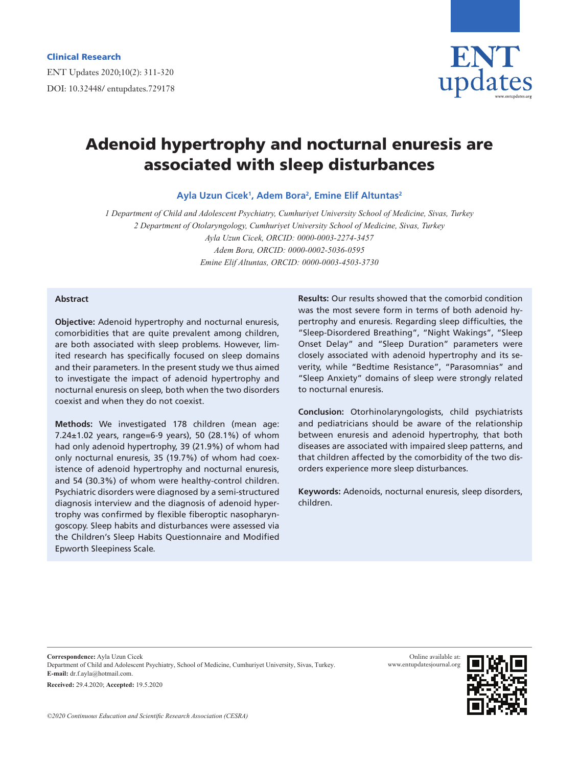

# Adenoid hypertrophy and nocturnal enuresis are associated with sleep disturbances

**Ayla Uzun Cicek1 , Adem Bora2 , Emine Elif Altuntas2**

*1 Department of Child and Adolescent Psychiatry, Cumhuriyet University School of Medicine, Sivas, Turkey 2 Department of Otolaryngology, Cumhuriyet University School of Medicine, Sivas, Turkey Ayla Uzun Cicek, ORCID: 0000-0003-2274-3457 Adem Bora, ORCID: 0000-0002-5036-0595 Emine Elif Altuntas, ORCID: 0000-0003-4503-3730*

#### **Abstract**

**Objective:** Adenoid hypertrophy and nocturnal enuresis, comorbidities that are quite prevalent among children, are both associated with sleep problems. However, limited research has specifically focused on sleep domains and their parameters. In the present study we thus aimed to investigate the impact of adenoid hypertrophy and nocturnal enuresis on sleep, both when the two disorders coexist and when they do not coexist.

**Methods:** We investigated 178 children (mean age: 7.24±1.02 years, range=6-9 years), 50 (28.1%) of whom had only adenoid hypertrophy, 39 (21.9%) of whom had only nocturnal enuresis, 35 (19.7%) of whom had coexistence of adenoid hypertrophy and nocturnal enuresis, and 54 (30.3%) of whom were healthy-control children. Psychiatric disorders were diagnosed by a semi-structured diagnosis interview and the diagnosis of adenoid hypertrophy was confirmed by flexible fiberoptic nasopharyngoscopy. Sleep habits and disturbances were assessed via the Children's Sleep Habits Questionnaire and Modified Epworth Sleepiness Scale.

**Results:** Our results showed that the comorbid condition was the most severe form in terms of both adenoid hypertrophy and enuresis. Regarding sleep difficulties, the "Sleep-Disordered Breathing", "Night Wakings", "Sleep Onset Delay" and "Sleep Duration" parameters were closely associated with adenoid hypertrophy and its severity, while "Bedtime Resistance", "Parasomnias" and "Sleep Anxiety" domains of sleep were strongly related to nocturnal enuresis.

**Conclusion:** Otorhinolaryngologists, child psychiatrists and pediatricians should be aware of the relationship between enuresis and adenoid hypertrophy, that both diseases are associated with impaired sleep patterns, and that children affected by the comorbidity of the two disorders experience more sleep disturbances.

**Keywords:** Adenoids, nocturnal enuresis, sleep disorders, children.

**Correspondence:** Ayla Uzun Cicek Department of Child and Adolescent Psychiatry, School of Medicine, Cumhuriyet University, Sivas, Turkey. **E-mail:** dr.f.ayla@hotmail.com. **Received:** 29.4.2020; **Accepted:** 19.5.2020

Online available at: www.entupdatesjournal.org

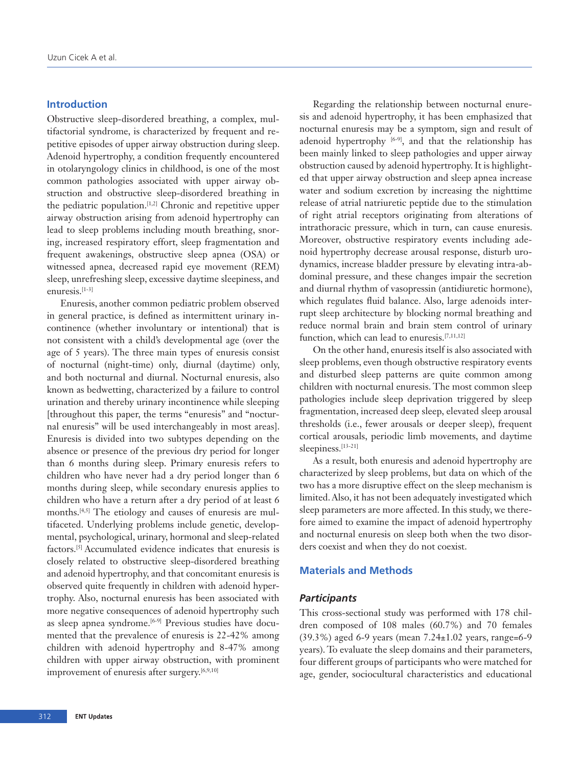# **Introduction**

Obstructive sleep-disordered breathing, a complex, multifactorial syndrome, is characterized by frequent and repetitive episodes of upper airway obstruction during sleep. Adenoid hypertrophy, a condition frequently encountered in otolaryngology clinics in childhood, is one of the most common pathologies associated with upper airway obstruction and obstructive sleep-disordered breathing in the pediatric population.[1,2] Chronic and repetitive upper airway obstruction arising from adenoid hypertrophy can lead to sleep problems including mouth breathing, snoring, increased respiratory effort, sleep fragmentation and frequent awakenings, obstructive sleep apnea (OSA) or witnessed apnea, decreased rapid eye movement (REM) sleep, unrefreshing sleep, excessive daytime sleepiness, and enuresis.[1-3]

Enuresis, another common pediatric problem observed in general practice, is defined as intermittent urinary incontinence (whether involuntary or intentional) that is not consistent with a child's developmental age (over the age of 5 years). The three main types of enuresis consist of nocturnal (night-time) only, diurnal (daytime) only, and both nocturnal and diurnal. Nocturnal enuresis, also known as bedwetting, characterized by a failure to control urination and thereby urinary incontinence while sleeping [throughout this paper, the terms "enuresis" and "nocturnal enuresis" will be used interchangeably in most areas]. Enuresis is divided into two subtypes depending on the absence or presence of the previous dry period for longer than 6 months during sleep. Primary enuresis refers to children who have never had a dry period longer than 6 months during sleep, while secondary enuresis applies to children who have a return after a dry period of at least 6 months.[4,5] The etiology and causes of enuresis are multifaceted. Underlying problems include genetic, developmental, psychological, urinary, hormonal and sleep-related factors.[5] Accumulated evidence indicates that enuresis is closely related to obstructive sleep-disordered breathing and adenoid hypertrophy, and that concomitant enuresis is observed quite frequently in children with adenoid hypertrophy. Also, nocturnal enuresis has been associated with more negative consequences of adenoid hypertrophy such as sleep apnea syndrome.<sup>[6-9]</sup> Previous studies have documented that the prevalence of enuresis is 22-42% among children with adenoid hypertrophy and 8-47% among children with upper airway obstruction, with prominent improvement of enuresis after surgery.<sup>[6,9,10]</sup>

Regarding the relationship between nocturnal enuresis and adenoid hypertrophy, it has been emphasized that nocturnal enuresis may be a symptom, sign and result of adenoid hypertrophy  $[6-9]$ , and that the relationship has been mainly linked to sleep pathologies and upper airway obstruction caused by adenoid hypertrophy. It is highlighted that upper airway obstruction and sleep apnea increase water and sodium excretion by increasing the nighttime release of atrial natriuretic peptide due to the stimulation of right atrial receptors originating from alterations of intrathoracic pressure, which in turn, can cause enuresis. Moreover, obstructive respiratory events including adenoid hypertrophy decrease arousal response, disturb urodynamics, increase bladder pressure by elevating intra-abdominal pressure, and these changes impair the secretion and diurnal rhythm of vasopressin (antidiuretic hormone), which regulates fluid balance. Also, large adenoids interrupt sleep architecture by blocking normal breathing and reduce normal brain and brain stem control of urinary function, which can lead to enuresis.[7,11,12]

On the other hand, enuresis itself is also associated with sleep problems, even though obstructive respiratory events and disturbed sleep patterns are quite common among children with nocturnal enuresis. The most common sleep pathologies include sleep deprivation triggered by sleep fragmentation, increased deep sleep, elevated sleep arousal thresholds (i.e., fewer arousals or deeper sleep), frequent cortical arousals, periodic limb movements, and daytime sleepiness.<sup>[13-21]</sup>

As a result, both enuresis and adenoid hypertrophy are characterized by sleep problems, but data on which of the two has a more disruptive effect on the sleep mechanism is limited. Also, it has not been adequately investigated which sleep parameters are more affected. In this study, we therefore aimed to examine the impact of adenoid hypertrophy and nocturnal enuresis on sleep both when the two disorders coexist and when they do not coexist.

### **Materials and Methods**

#### *Participants*

This cross-sectional study was performed with 178 children composed of 108 males (60.7%) and 70 females (39.3%) aged 6-9 years (mean 7.24±1.02 years, range=6-9 years). To evaluate the sleep domains and their parameters, four different groups of participants who were matched for age, gender, sociocultural characteristics and educational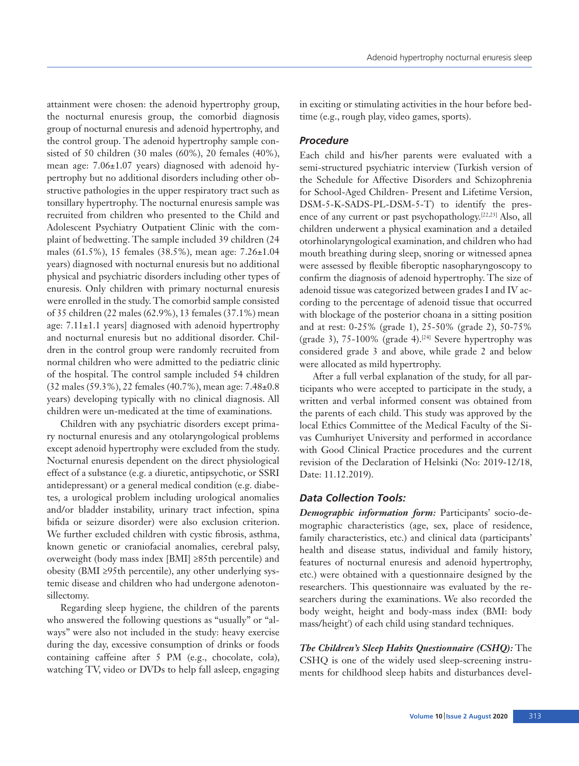attainment were chosen: the adenoid hypertrophy group, the nocturnal enuresis group, the comorbid diagnosis group of nocturnal enuresis and adenoid hypertrophy, and the control group. The adenoid hypertrophy sample consisted of 50 children (30 males (60%), 20 females (40%), mean age: 7.06±1.07 years) diagnosed with adenoid hypertrophy but no additional disorders including other obstructive pathologies in the upper respiratory tract such as tonsillary hypertrophy. The nocturnal enuresis sample was recruited from children who presented to the Child and Adolescent Psychiatry Outpatient Clinic with the complaint of bedwetting. The sample included 39 children (24 males (61.5%), 15 females (38.5%), mean age: 7.26±1.04 years) diagnosed with nocturnal enuresis but no additional physical and psychiatric disorders including other types of enuresis. Only children with primary nocturnal enuresis were enrolled in the study. The comorbid sample consisted of 35 children (22 males (62.9%), 13 females (37.1%) mean age:  $7.11 \pm 1.1$  years] diagnosed with adenoid hypertrophy and nocturnal enuresis but no additional disorder. Children in the control group were randomly recruited from normal children who were admitted to the pediatric clinic of the hospital. The control sample included 54 children (32 males (59.3%), 22 females (40.7%), mean age: 7.48±0.8 years) developing typically with no clinical diagnosis. All children were un-medicated at the time of examinations.

Children with any psychiatric disorders except primary nocturnal enuresis and any otolaryngological problems except adenoid hypertrophy were excluded from the study. Nocturnal enuresis dependent on the direct physiological effect of a substance (e.g. a diuretic, antipsychotic, or SSRI antidepressant) or a general medical condition (e.g. diabetes, a urological problem including urological anomalies and/or bladder instability, urinary tract infection, spina bifida or seizure disorder) were also exclusion criterion. We further excluded children with cystic fibrosis, asthma, known genetic or craniofacial anomalies, cerebral palsy, overweight (body mass index [BMI] ≥85th percentile) and obesity (BMI ≥95th percentile), any other underlying systemic disease and children who had undergone adenotonsillectomy.

Regarding sleep hygiene, the children of the parents who answered the following questions as "usually" or "always" were also not included in the study: heavy exercise during the day, excessive consumption of drinks or foods containing caffeine after 5 PM (e.g., chocolate, cola), watching TV, video or DVDs to help fall asleep, engaging

in exciting or stimulating activities in the hour before bedtime (e.g., rough play, video games, sports).

## *Procedure*

Each child and his/her parents were evaluated with a semi-structured psychiatric interview (Turkish version of the Schedule for Affective Disorders and Schizophrenia for School-Aged Children- Present and Lifetime Version, DSM-5-K-SADS-PL-DSM-5-T) to identify the presence of any current or past psychopathology.[22,23] Also, all children underwent a physical examination and a detailed otorhinolaryngological examination, and children who had mouth breathing during sleep, snoring or witnessed apnea were assessed by flexible fiberoptic nasopharyngoscopy to confirm the diagnosis of adenoid hypertrophy. The size of adenoid tissue was categorized between grades I and IV according to the percentage of adenoid tissue that occurred with blockage of the posterior choana in a sitting position and at rest: 0-25% (grade 1), 25-50% (grade 2), 50-75% (grade 3),  $75-100\%$  (grade 4).<sup>[24]</sup> Severe hypertrophy was considered grade 3 and above, while grade 2 and below were allocated as mild hypertrophy.

After a full verbal explanation of the study, for all participants who were accepted to participate in the study, a written and verbal informed consent was obtained from the parents of each child. This study was approved by the local Ethics Committee of the Medical Faculty of the Sivas Cumhuriyet University and performed in accordance with Good Clinical Practice procedures and the current revision of the Declaration of Helsinki (No: 2019-12/18, Date: 11.12.2019).

## *Data Collection Tools:*

*Demographic information form:* Participants' socio-demographic characteristics (age, sex, place of residence, family characteristics, etc.) and clinical data (participants' health and disease status, individual and family history, features of nocturnal enuresis and adenoid hypertrophy, etc.) were obtained with a questionnaire designed by the researchers. This questionnaire was evaluated by the researchers during the examinations. We also recorded the body weight, height and body-mass index (BMI: body mass/height<sup>2</sup>) of each child using standard techniques.

*The Children's Sleep Habits Questionnaire (CSHQ):* The CSHQ is one of the widely used sleep-screening instruments for childhood sleep habits and disturbances devel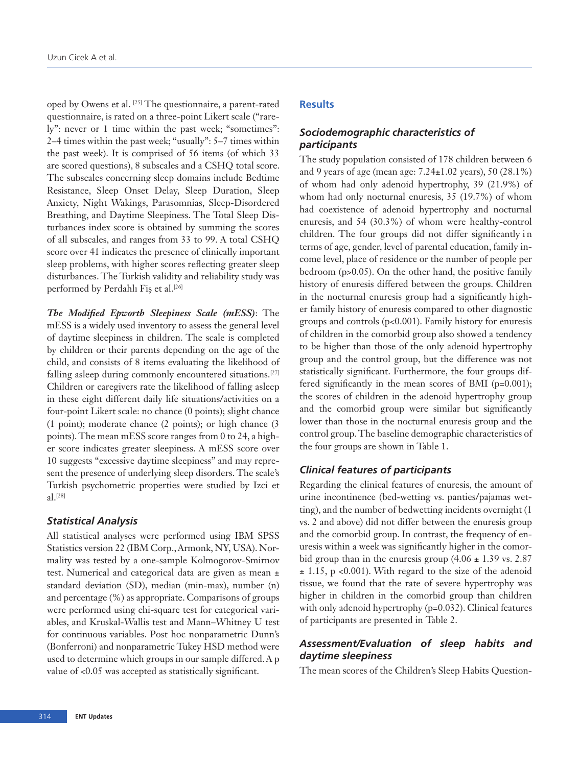oped by Owens et al. [25] The questionnaire, a parent-rated questionnaire, is rated on a three-point Likert scale ("rarely": never or 1 time within the past week; "sometimes": 2–4 times within the past week; "usually": 5–7 times within the past week). It is comprised of 56 items (of which 33 are scored questions), 8 subscales and a CSHQ total score. The subscales concerning sleep domains include Bedtime Resistance, Sleep Onset Delay, Sleep Duration, Sleep Anxiety, Night Wakings, Parasomnias, Sleep-Disordered Breathing, and Daytime Sleepiness. The Total Sleep Disturbances index score is obtained by summing the scores of all subscales, and ranges from 33 to 99. A total CSHQ score over 41 indicates the presence of clinically important sleep problems, with higher scores reflecting greater sleep disturbances. The Turkish validity and reliability study was performed by Perdahlı Fiş et al.<sup>[26]</sup>

*The Modified Epworth Sleepiness Scale (mESS)*: The mESS is a widely used inventory to assess the general level of daytime sleepiness in children. The scale is completed by children or their parents depending on the age of the child, and consists of 8 items evaluating the likelihood of falling asleep during commonly encountered situations.<sup>[27]</sup> Children or caregivers rate the likelihood of falling asleep in these eight different daily life situations/activities on a four-point Likert scale: no chance (0 points); slight chance (1 point); moderate chance (2 points); or high chance (3 points). The mean mESS score ranges from 0 to 24, a higher score indicates greater sleepiness. A mESS score over 10 suggests "excessive daytime sleepiness" and may represent the presence of underlying sleep disorders. The scale's Turkish psychometric properties were studied by Izci et al.[28]

# *Statistical Analysis*

All statistical analyses were performed using IBM SPSS Statistics version 22 (IBM Corp., Armonk, NY, USA). Normality was tested by a one-sample Kolmogorov-Smirnov test. Numerical and categorical data are given as mean ± standard deviation (SD), median (min-max), number (n) and percentage (%) as appropriate. Comparisons of groups were performed using chi-square test for categorical variables, and Kruskal-Wallis test and Mann–Whitney U test for continuous variables. Post hoc nonparametric Dunn's (Bonferroni) and nonparametric Tukey HSD method were used to determine which groups in our sample differed. A p value of <0.05 was accepted as statistically significant.

# **Results**

# *Sociodemographic characteristics of participants*

The study population consisted of 178 children between 6 and 9 years of age (mean age: 7.24±1.02 years), 50 (28.1%) of whom had only adenoid hypertrophy, 39 (21.9%) of whom had only nocturnal enuresis, 35 (19.7%) of whom had coexistence of adenoid hypertrophy and nocturnal enuresis, and 54 (30.3%) of whom were healthy-control children. The four groups did not differ significantly i n terms of age, gender, level of parental education, family income level, place of residence or the number of people per bedroom (p>0.05). On the other hand, the positive family history of enuresis differed between the groups. Children in the nocturnal enuresis group had a significantly higher family history of enuresis compared to other diagnostic groups and controls (p<0.001). Family history for enuresis of children in the comorbid group also showed a tendency to be higher than those of the only adenoid hypertrophy group and the control group, but the difference was not statistically significant. Furthermore, the four groups differed significantly in the mean scores of BMI (p=0.001); the scores of children in the adenoid hypertrophy group and the comorbid group were similar but significantly lower than those in the nocturnal enuresis group and the control group. The baseline demographic characteristics of the four groups are shown in Table 1.

# *Clinical features of participants*

Regarding the clinical features of enuresis, the amount of urine incontinence (bed-wetting vs. panties/pajamas wetting), and the number of bedwetting incidents overnight (1 vs. 2 and above) did not differ between the enuresis group and the comorbid group. In contrast, the frequency of enuresis within a week was significantly higher in the comorbid group than in the enuresis group  $(4.06 \pm 1.39 \text{ vs. } 2.87)$  $\pm$  1.15, p <0.001). With regard to the size of the adenoid tissue, we found that the rate of severe hypertrophy was higher in children in the comorbid group than children with only adenoid hypertrophy (p=0.032). Clinical features of participants are presented in Table 2.

# *Assessment/Evaluation of sleep habits and daytime sleepiness*

The mean scores of the Children's Sleep Habits Question-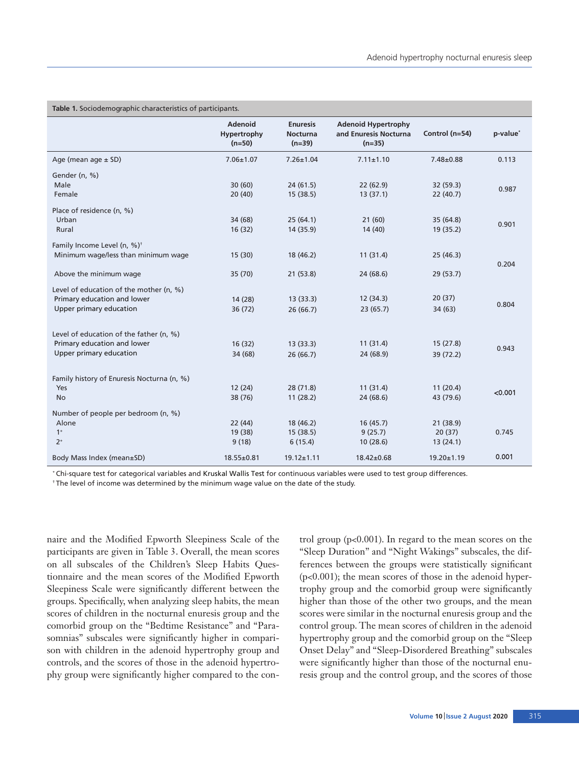| Table 1. Sociodemographic characteristics of participants. |                                           |                                                |                                                                 |                  |          |  |
|------------------------------------------------------------|-------------------------------------------|------------------------------------------------|-----------------------------------------------------------------|------------------|----------|--|
|                                                            | <b>Adenoid</b><br>Hypertrophy<br>$(n=50)$ | <b>Enuresis</b><br><b>Nocturna</b><br>$(n=39)$ | <b>Adenoid Hypertrophy</b><br>and Enuresis Nocturna<br>$(n=35)$ | Control (n=54)   | p-value* |  |
| Age (mean age $\pm$ SD)                                    | $7.06 \pm 1.07$                           | $7.26 \pm 1.04$                                | $7.11 \pm 1.10$                                                 | $7.48 \pm 0.88$  | 0.113    |  |
| Gender (n, %)                                              |                                           |                                                |                                                                 |                  |          |  |
| Male                                                       | 30(60)                                    | 24(61.5)                                       | 22(62.9)                                                        | 32 (59.3)        |          |  |
| Female                                                     | 20(40)                                    | 15(38.5)                                       | 13(37.1)                                                        | 22(40.7)         | 0.987    |  |
| Place of residence (n, %)                                  |                                           |                                                |                                                                 |                  |          |  |
| Urban                                                      | 34 (68)                                   | 25(64.1)                                       | 21(60)                                                          | 35(64.8)         | 0.901    |  |
| Rural                                                      | 16(32)                                    | 14 (35.9)                                      | 14 (40)                                                         | 19 (35.2)        |          |  |
| Family Income Level (n, %) <sup>+</sup>                    |                                           |                                                |                                                                 |                  |          |  |
| Minimum wage/less than minimum wage                        | 15(30)                                    | 18 (46.2)                                      | 11(31.4)                                                        | 25(46.3)         | 0.204    |  |
| Above the minimum wage                                     | 35(70)                                    | 21(53.8)                                       | 24 (68.6)                                                       | 29 (53.7)        |          |  |
| Level of education of the mother (n, %)                    |                                           |                                                |                                                                 |                  |          |  |
| Primary education and lower                                | 14 (28)                                   | 13(33.3)                                       | 12(34.3)                                                        | 20(37)           |          |  |
| Upper primary education                                    | 36(72)                                    | 26(66.7)                                       | 23(65.7)                                                        | 34 (63)          | 0.804    |  |
| Level of education of the father (n, %)                    |                                           |                                                |                                                                 |                  |          |  |
| Primary education and lower                                | 16(32)                                    | 13(33.3)                                       | 11(31.4)                                                        | 15(27.8)         |          |  |
| Upper primary education                                    | 34 (68)                                   | 26(66.7)                                       | 24 (68.9)                                                       | 39 (72.2)        | 0.943    |  |
|                                                            |                                           |                                                |                                                                 |                  |          |  |
| Family history of Enuresis Nocturna (n, %)<br>Yes          | 12(24)                                    | 28(71.8)                                       | 11(31.4)                                                        | 11(20.4)         |          |  |
| <b>No</b>                                                  | 38 (76)                                   | 11(28.2)                                       | 24 (68.6)                                                       | 43 (79.6)        | < 0.001  |  |
|                                                            |                                           |                                                |                                                                 |                  |          |  |
| Number of people per bedroom (n, %)                        |                                           |                                                |                                                                 |                  |          |  |
| Alone                                                      | 22(44)                                    | 18 (46.2)                                      | 16(45.7)                                                        | 21(38.9)         |          |  |
| $1+$                                                       | 19 (38)                                   | 15(38.5)                                       | 9(25.7)                                                         | 20(37)           | 0.745    |  |
| $2+$                                                       | 9(18)                                     | 6(15.4)                                        | 10(28.6)                                                        | 13(24.1)         |          |  |
| Body Mass Index (mean±SD)                                  | 18.55±0.81                                | $19.12 \pm 1.11$                               | 18.42±0.68                                                      | $19.20 \pm 1.19$ | 0.001    |  |

\* Chi-square test for categorical variables and Kruskal Wallis Test for continuous variables were used to test group differences.

<sup>†</sup> The level of income was determined by the minimum wage value on the date of the study.

naire and the Modified Epworth Sleepiness Scale of the participants are given in Table 3. Overall, the mean scores on all subscales of the Children's Sleep Habits Questionnaire and the mean scores of the Modified Epworth Sleepiness Scale were significantly different between the groups. Specifically, when analyzing sleep habits, the mean scores of children in the nocturnal enuresis group and the comorbid group on the "Bedtime Resistance" and "Parasomnias" subscales were significantly higher in comparison with children in the adenoid hypertrophy group and controls, and the scores of those in the adenoid hypertrophy group were significantly higher compared to the control group (p<0.001). In regard to the mean scores on the "Sleep Duration" and "Night Wakings" subscales, the differences between the groups were statistically significant (p<0.001); the mean scores of those in the adenoid hypertrophy group and the comorbid group were significantly higher than those of the other two groups, and the mean scores were similar in the nocturnal enuresis group and the control group. The mean scores of children in the adenoid hypertrophy group and the comorbid group on the "Sleep Onset Delay" and "Sleep-Disordered Breathing" subscales were significantly higher than those of the nocturnal enuresis group and the control group, and the scores of those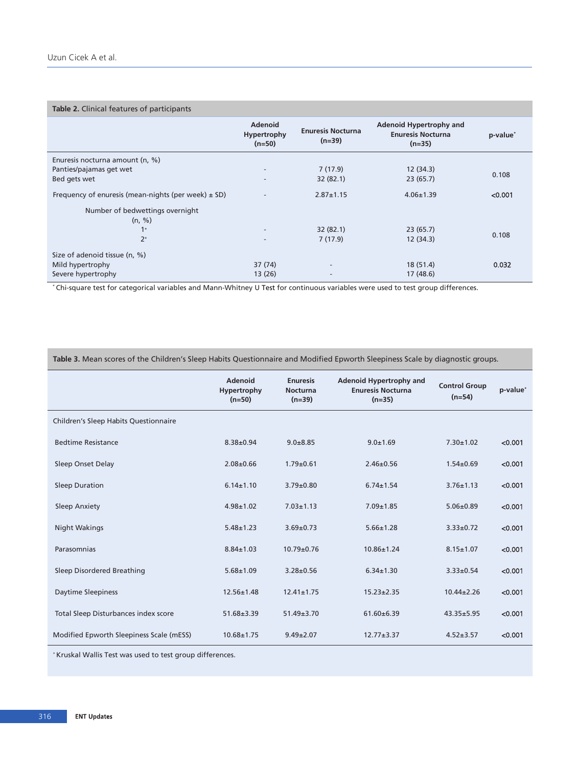#### **Table 2.** Clinical features of participants

|                                                         | <b>Adenoid</b><br>Hypertrophy<br>$(n=50)$ | <b>Enuresis Nocturna</b><br>$(n=39)$ | Adenoid Hypertrophy and<br><b>Enuresis Nocturna</b><br>$(n=35)$ | p-value <sup>*</sup> |  |
|---------------------------------------------------------|-------------------------------------------|--------------------------------------|-----------------------------------------------------------------|----------------------|--|
| Enuresis nocturna amount (n, %)                         |                                           |                                      |                                                                 |                      |  |
| Panties/pajamas get wet                                 | $\overline{\phantom{a}}$                  | 7(17.9)                              | 12(34.3)                                                        | 0.108                |  |
| Bed gets wet                                            | $\overline{\phantom{a}}$                  | 32(82.1)                             | 23(65.7)                                                        |                      |  |
| Frequency of enuresis (mean-nights (per week) $\pm$ SD) | $\overline{\phantom{a}}$                  | $2.87 \pm 1.15$                      | $4.06 \pm 1.39$                                                 | < 0.001              |  |
| Number of bedwettings overnight                         |                                           |                                      |                                                                 |                      |  |
| (n, %)                                                  |                                           |                                      |                                                                 |                      |  |
| $1+$                                                    | $\overline{\phantom{a}}$                  | 32(82.1)                             | 23(65.7)                                                        | 0.108                |  |
| $2+$                                                    | $\overline{\phantom{m}}$                  | 7(17.9)                              | 12(34.3)                                                        |                      |  |
| Size of adenoid tissue (n, %)                           |                                           |                                      |                                                                 |                      |  |
| Mild hypertrophy                                        | 37 (74)                                   | $\overline{\phantom{a}}$             | 18 (51.4)                                                       | 0.032                |  |
| Severe hypertrophy                                      | 13(26)                                    | $\overline{\phantom{a}}$             | 17(48.6)                                                        |                      |  |

\* Chi-square test for categorical variables and Mann-Whitney U Test for continuous variables were used to test group differences.

| Table 3. Mean scores of the Children's Sleep Habits Questionnaire and Modified Epworth Sleepiness Scale by diagnostic groups. / |  |
|---------------------------------------------------------------------------------------------------------------------------------|--|
|---------------------------------------------------------------------------------------------------------------------------------|--|

|                                          | <b>Adenoid</b><br>Hypertrophy<br>$(n=50)$ | <b>Enuresis</b><br><b>Nocturna</b><br>$(n=39)$ | <b>Adenoid Hypertrophy and</b><br><b>Enuresis Nocturna</b><br>$(n=35)$ | <b>Control Group</b><br>$(n=54)$ | p-value* |
|------------------------------------------|-------------------------------------------|------------------------------------------------|------------------------------------------------------------------------|----------------------------------|----------|
| Children's Sleep Habits Questionnaire    |                                           |                                                |                                                                        |                                  |          |
| <b>Bedtime Resistance</b>                | $8.38 \pm 0.94$                           | $9.0 + 8.85$                                   | $9.0 + 1.69$                                                           | $7.30 \pm 1.02$                  | < 0.001  |
| Sleep Onset Delay                        | $2.08 \pm 0.66$                           | $1.79 + 0.61$                                  | $2.46 \pm 0.56$                                                        | $1.54 \pm 0.69$                  | < 0.001  |
| <b>Sleep Duration</b>                    | $6.14 \pm 1.10$                           | $3.79 \pm 0.80$                                | $6.74 \pm 1.54$                                                        | $3.76 \pm 1.13$                  | < 0.001  |
| Sleep Anxiety                            | $4.98 \pm 1.02$                           | $7.03 \pm 1.13$                                | $7.09 \pm 1.85$                                                        | $5.06 \pm 0.89$                  | < 0.001  |
| Night Wakings                            | $5.48 \pm 1.23$                           | $3.69 \pm 0.73$                                | $5.66 \pm 1.28$                                                        | $3.33 \pm 0.72$                  | < 0.001  |
| Parasomnias                              | $8.84 \pm 1.03$                           | $10.79 \pm 0.76$                               | $10.86 \pm 1.24$                                                       | $8.15 \pm 1.07$                  | < 0.001  |
| Sleep Disordered Breathing               | $5.68 \pm 1.09$                           | $3.28 \pm 0.56$                                | $6.34 \pm 1.30$                                                        | $3.33 \pm 0.54$                  | < 0.001  |
| <b>Daytime Sleepiness</b>                | $12.56 \pm 1.48$                          | $12.41 \pm 1.75$                               | $15.23 \pm 2.35$                                                       | $10.44 \pm 2.26$                 | < 0.001  |
| Total Sleep Disturbances index score     | $51.68 \pm 3.39$                          | $51.49 \pm 3.70$                               | $61.60 \pm 6.39$                                                       | $43.35 \pm 5.95$                 | < 0.001  |
| Modified Epworth Sleepiness Scale (mESS) | $10.68 \pm 1.75$                          | $9.49 \pm 2.07$                                | $12.77 \pm 3.37$                                                       | $4.52 + 3.57$                    | < 0.001  |

\*Kruskal Wallis Test was used to test group differences.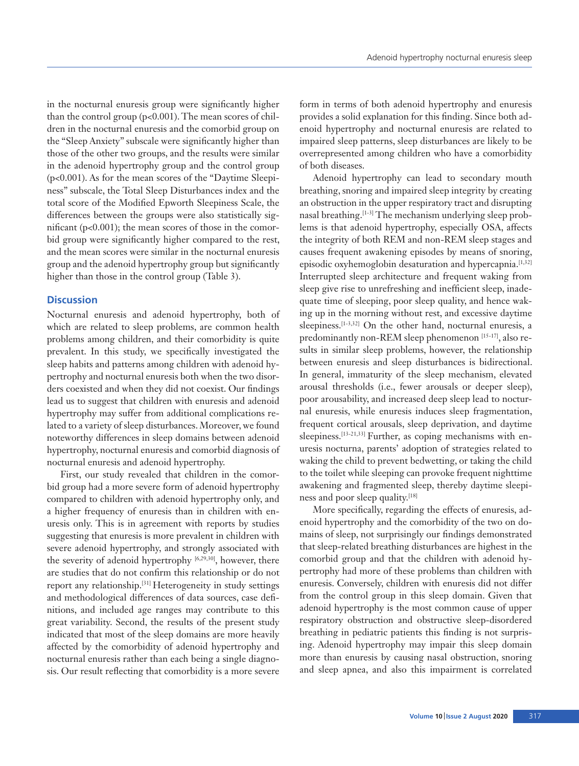in the nocturnal enuresis group were significantly higher than the control group (p<0.001). The mean scores of children in the nocturnal enuresis and the comorbid group on the "Sleep Anxiety" subscale were significantly higher than those of the other two groups, and the results were similar in the adenoid hypertrophy group and the control group (p<0.001). As for the mean scores of the "Daytime Sleepiness" subscale, the Total Sleep Disturbances index and the total score of the Modified Epworth Sleepiness Scale, the differences between the groups were also statistically significant (p<0.001); the mean scores of those in the comorbid group were significantly higher compared to the rest, and the mean scores were similar in the nocturnal enuresis group and the adenoid hypertrophy group but significantly higher than those in the control group (Table 3).

# **Discussion**

Nocturnal enuresis and adenoid hypertrophy, both of which are related to sleep problems, are common health problems among children, and their comorbidity is quite prevalent. In this study, we specifically investigated the sleep habits and patterns among children with adenoid hypertrophy and nocturnal enuresis both when the two disorders coexisted and when they did not coexist. Our findings lead us to suggest that children with enuresis and adenoid hypertrophy may suffer from additional complications related to a variety of sleep disturbances. Moreover, we found noteworthy differences in sleep domains between adenoid hypertrophy, nocturnal enuresis and comorbid diagnosis of nocturnal enuresis and adenoid hypertrophy.

First, our study revealed that children in the comorbid group had a more severe form of adenoid hypertrophy compared to children with adenoid hypertrophy only, and a higher frequency of enuresis than in children with enuresis only. This is in agreement with reports by studies suggesting that enuresis is more prevalent in children with severe adenoid hypertrophy, and strongly associated with the severity of adenoid hypertrophy [6,29,30], however, there are studies that do not confirm this relationship or do not report any relationship.[31] Heterogeneity in study settings and methodological differences of data sources, case definitions, and included age ranges may contribute to this great variability. Second, the results of the present study indicated that most of the sleep domains are more heavily affected by the comorbidity of adenoid hypertrophy and nocturnal enuresis rather than each being a single diagnosis. Our result reflecting that comorbidity is a more severe

form in terms of both adenoid hypertrophy and enuresis provides a solid explanation for this finding. Since both adenoid hypertrophy and nocturnal enuresis are related to impaired sleep patterns, sleep disturbances are likely to be overrepresented among children who have a comorbidity of both diseases.

Adenoid hypertrophy can lead to secondary mouth breathing, snoring and impaired sleep integrity by creating an obstruction in the upper respiratory tract and disrupting nasal breathing.[1-3] The mechanism underlying sleep problems is that adenoid hypertrophy, especially OSA, affects the integrity of both REM and non-REM sleep stages and causes frequent awakening episodes by means of snoring, episodic oxyhemoglobin desaturation and hypercapnia.[1,32] Interrupted sleep architecture and frequent waking from sleep give rise to unrefreshing and inefficient sleep, inadequate time of sleeping, poor sleep quality, and hence waking up in the morning without rest, and excessive daytime sleepiness.<sup>[1-3,32]</sup> On the other hand, nocturnal enuresis, a predominantly non-REM sleep phenomenon [15-17], also results in similar sleep problems, however, the relationship between enuresis and sleep disturbances is bidirectional. In general, immaturity of the sleep mechanism, elevated arousal thresholds (i.e., fewer arousals or deeper sleep), poor arousability, and increased deep sleep lead to nocturnal enuresis, while enuresis induces sleep fragmentation, frequent cortical arousals, sleep deprivation, and daytime sleepiness.<sup>[13-21,33]</sup> Further, as coping mechanisms with enuresis nocturna, parents' adoption of strategies related to waking the child to prevent bedwetting, or taking the child to the toilet while sleeping can provoke frequent nighttime awakening and fragmented sleep, thereby daytime sleepiness and poor sleep quality.[18]

More specifically, regarding the effects of enuresis, adenoid hypertrophy and the comorbidity of the two on domains of sleep, not surprisingly our findings demonstrated that sleep-related breathing disturbances are highest in the comorbid group and that the children with adenoid hypertrophy had more of these problems than children with enuresis. Conversely, children with enuresis did not differ from the control group in this sleep domain. Given that adenoid hypertrophy is the most common cause of upper respiratory obstruction and obstructive sleep-disordered breathing in pediatric patients this finding is not surprising. Adenoid hypertrophy may impair this sleep domain more than enuresis by causing nasal obstruction, snoring and sleep apnea, and also this impairment is correlated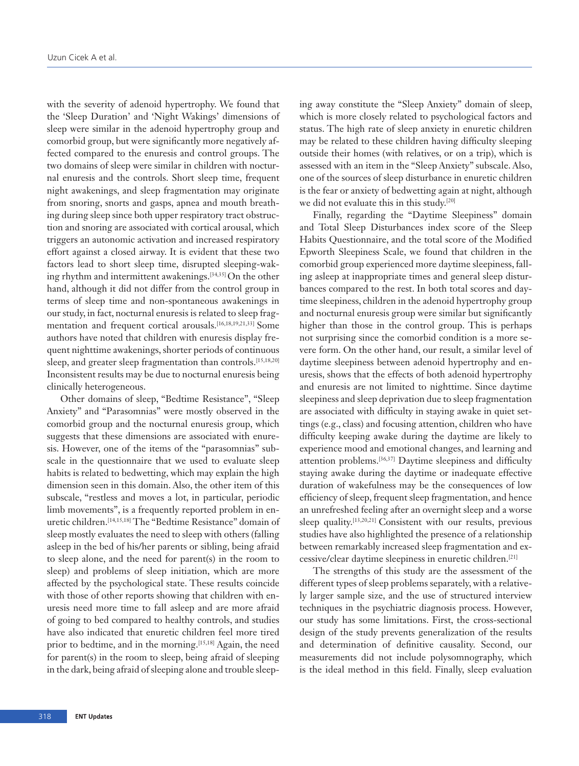with the severity of adenoid hypertrophy. We found that the 'Sleep Duration' and 'Night Wakings' dimensions of sleep were similar in the adenoid hypertrophy group and comorbid group, but were significantly more negatively affected compared to the enuresis and control groups. The two domains of sleep were similar in children with nocturnal enuresis and the controls. Short sleep time, frequent night awakenings, and sleep fragmentation may originate from snoring, snorts and gasps, apnea and mouth breathing during sleep since both upper respiratory tract obstruction and snoring are associated with cortical arousal, which triggers an autonomic activation and increased respiratory effort against a closed airway. It is evident that these two factors lead to short sleep time, disrupted sleeping-waking rhythm and intermittent awakenings.[34,35] On the other hand, although it did not differ from the control group in terms of sleep time and non-spontaneous awakenings in our study, in fact, nocturnal enuresis is related to sleep fragmentation and frequent cortical arousals.[16,18,19,21,33] Some authors have noted that children with enuresis display frequent nighttime awakenings, shorter periods of continuous sleep, and greater sleep fragmentation than controls.[15,18,20] Inconsistent results may be due to nocturnal enuresis being clinically heterogeneous.

Other domains of sleep, "Bedtime Resistance", "Sleep Anxiety" and "Parasomnias" were mostly observed in the comorbid group and the nocturnal enuresis group, which suggests that these dimensions are associated with enuresis. However, one of the items of the "parasomnias" subscale in the questionnaire that we used to evaluate sleep habits is related to bedwetting, which may explain the high dimension seen in this domain. Also, the other item of this subscale, "restless and moves a lot, in particular, periodic limb movements", is a frequently reported problem in enuretic children.[14,15,18] The "Bedtime Resistance" domain of sleep mostly evaluates the need to sleep with others (falling asleep in the bed of his/her parents or sibling, being afraid to sleep alone, and the need for parent(s) in the room to sleep) and problems of sleep initiation, which are more affected by the psychological state. These results coincide with those of other reports showing that children with enuresis need more time to fall asleep and are more afraid of going to bed compared to healthy controls, and studies have also indicated that enuretic children feel more tired prior to bedtime, and in the morning.<sup>[15,18]</sup> Again, the need for parent(s) in the room to sleep, being afraid of sleeping in the dark, being afraid of sleeping alone and trouble sleeping away constitute the "Sleep Anxiety" domain of sleep, which is more closely related to psychological factors and status. The high rate of sleep anxiety in enuretic children may be related to these children having difficulty sleeping outside their homes (with relatives, or on a trip), which is assessed with an item in the "Sleep Anxiety" subscale. Also, one of the sources of sleep disturbance in enuretic children is the fear or anxiety of bedwetting again at night, although we did not evaluate this in this study.[20]

Finally, regarding the "Daytime Sleepiness" domain and Total Sleep Disturbances index score of the Sleep Habits Questionnaire, and the total score of the Modified Epworth Sleepiness Scale, we found that children in the comorbid group experienced more daytime sleepiness, falling asleep at inappropriate times and general sleep disturbances compared to the rest. In both total scores and daytime sleepiness, children in the adenoid hypertrophy group and nocturnal enuresis group were similar but significantly higher than those in the control group. This is perhaps not surprising since the comorbid condition is a more severe form. On the other hand, our result, a similar level of daytime sleepiness between adenoid hypertrophy and enuresis, shows that the effects of both adenoid hypertrophy and enuresis are not limited to nighttime. Since daytime sleepiness and sleep deprivation due to sleep fragmentation are associated with difficulty in staying awake in quiet settings (e.g., class) and focusing attention, children who have difficulty keeping awake during the daytime are likely to experience mood and emotional changes, and learning and attention problems.[36,37] Daytime sleepiness and difficulty staying awake during the daytime or inadequate effective duration of wakefulness may be the consequences of low efficiency of sleep, frequent sleep fragmentation, and hence an unrefreshed feeling after an overnight sleep and a worse sleep quality.<sup>[13,20,21]</sup> Consistent with our results, previous studies have also highlighted the presence of a relationship between remarkably increased sleep fragmentation and excessive/clear daytime sleepiness in enuretic children.[21]

The strengths of this study are the assessment of the different types of sleep problems separately, with a relatively larger sample size, and the use of structured interview techniques in the psychiatric diagnosis process. However, our study has some limitations. First, the cross-sectional design of the study prevents generalization of the results and determination of definitive causality. Second, our measurements did not include polysomnography, which is the ideal method in this field. Finally, sleep evaluation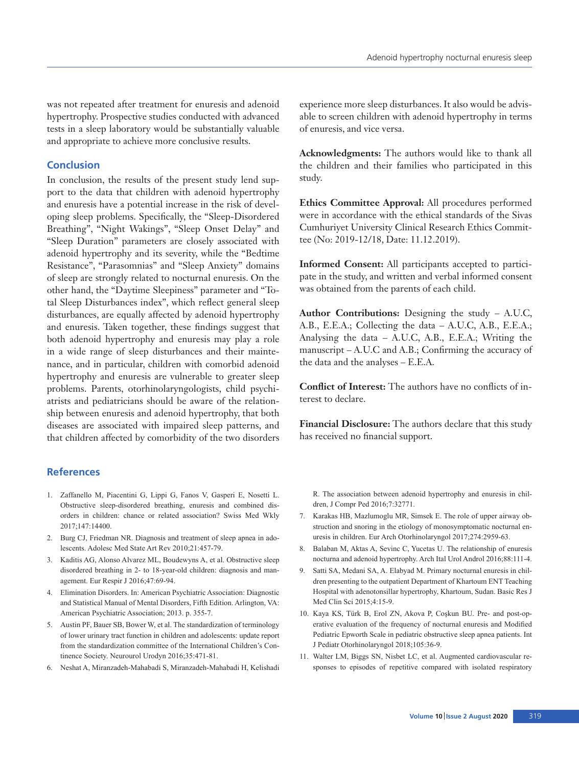was not repeated after treatment for enuresis and adenoid hypertrophy. Prospective studies conducted with advanced tests in a sleep laboratory would be substantially valuable and appropriate to achieve more conclusive results.

## **Conclusion**

In conclusion, the results of the present study lend support to the data that children with adenoid hypertrophy and enuresis have a potential increase in the risk of developing sleep problems. Specifically, the "Sleep-Disordered Breathing", "Night Wakings", "Sleep Onset Delay" and "Sleep Duration" parameters are closely associated with adenoid hypertrophy and its severity, while the "Bedtime Resistance", "Parasomnias" and "Sleep Anxiety" domains of sleep are strongly related to nocturnal enuresis. On the other hand, the "Daytime Sleepiness" parameter and "Total Sleep Disturbances index", which reflect general sleep disturbances, are equally affected by adenoid hypertrophy and enuresis. Taken together, these findings suggest that both adenoid hypertrophy and enuresis may play a role in a wide range of sleep disturbances and their maintenance, and in particular, children with comorbid adenoid hypertrophy and enuresis are vulnerable to greater sleep problems. Parents, otorhinolaryngologists, child psychiatrists and pediatricians should be aware of the relationship between enuresis and adenoid hypertrophy, that both diseases are associated with impaired sleep patterns, and that children affected by comorbidity of the two disorders

## **References**

- 1. Zaffanello M, Piacentini G, Lippi G, Fanos V, Gasperi E, Nosetti L. Obstructive sleep-disordered breathing, enuresis and combined disorders in children: chance or related association? Swiss Med Wkly 2017;147:14400.
- 2. Burg CJ, Friedman NR. Diagnosis and treatment of sleep apnea in adolescents. Adolesc Med State Art Rev 2010;21:457-79.
- 3. Kaditis AG, Alonso Alvarez ML, Boudewyns A, et al. Obstructive sleep disordered breathing in 2- to 18-year-old children: diagnosis and management. Eur Respir J 2016;47:69-94.
- 4. Elimination Disorders. In: American Psychiatric Association: Diagnostic and Statistical Manual of Mental Disorders, Fifth Edition. Arlington, VA: American Psychiatric Association; 2013. p. 355-7.
- 5. Austin PF, Bauer SB, Bower W, et al. The standardization of terminology of lower urinary tract function in children and adolescents: update report from the standardization committee of the International Children's Continence Society. Neurourol Urodyn 2016;35:471-81.
- 6. Neshat A, Miranzadeh-Mahabadi S, Miranzadeh-Mahabadi H, Kelishadi

experience more sleep disturbances. It also would be advisable to screen children with adenoid hypertrophy in terms of enuresis, and vice versa.

**Acknowledgments:** The authors would like to thank all the children and their families who participated in this study.

**Ethics Committee Approval:** All procedures performed were in accordance with the ethical standards of the Sivas Cumhuriyet University Clinical Research Ethics Committee (No: 2019-12/18, Date: 11.12.2019).

**Informed Consent:** All participants accepted to participate in the study, and written and verbal informed consent was obtained from the parents of each child.

**Author Contributions:** Designing the study – A.U.C, A.B., E.E.A.; Collecting the data – A.U.C, A.B., E.E.A.; Analysing the data – A.U.C, A.B., E.E.A.; Writing the manuscript – A.U.C and A.B.; Confirming the accuracy of the data and the analyses – E.E.A.

**Conflict of Interest:** The authors have no conflicts of interest to declare.

**Financial Disclosure:** The authors declare that this study has received no financial support.

R. The association between adenoid hypertrophy and enuresis in children, J Compr Ped 2016;7:32771.

- 7. Karakas HB, Mazlumoglu MR, Simsek E. The role of upper airway obstruction and snoring in the etiology of monosymptomatic nocturnal enuresis in children. Eur Arch Otorhinolaryngol 2017;274:2959-63.
- 8. Balaban M, Aktas A, Sevinc C, Yucetas U. The relationship of enuresis nocturna and adenoid hypertrophy. Arch Ital Urol Androl 2016;88:111-4.
- 9. Satti SA, Medani SA, A. Elabyad M. Primary nocturnal enuresis in children presenting to the outpatient Department of Khartoum ENT Teaching Hospital with adenotonsillar hypertrophy, Khartoum, Sudan. Basic Res J Med Clin Sci 2015;4:15-9.
- 10. Kaya KS, Türk B, Erol ZN, Akova P, Coşkun BU. Pre- and post-operative evaluation of the frequency of nocturnal enuresis and Modified Pediatric Epworth Scale in pediatric obstructive sleep apnea patients. Int J Pediatr Otorhinolaryngol 2018;105:36-9.
- 11. Walter LM, Biggs SN, Nisbet LC, et al. Augmented cardiovascular responses to episodes of repetitive compared with isolated respiratory